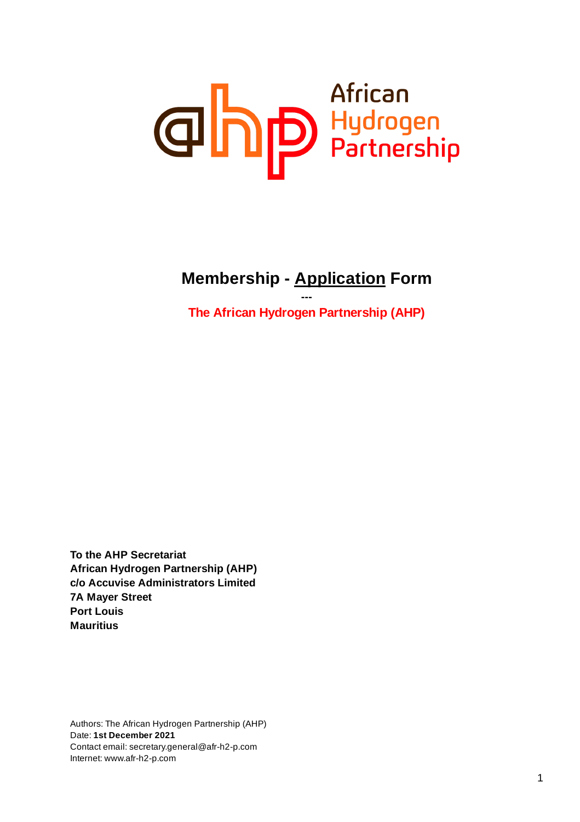

# **Membership - Application Form**

**--- The African Hydrogen Partnership (AHP)**

**To the AHP Secretariat African Hydrogen Partnership (AHP) c/o Accuvise Administrators Limited 7A Mayer Street Port Louis Mauritius**

Authors: The African Hydrogen Partnership (AHP) Date: **1st December 2021** Contact email: secretary.general@afr-h2-p.com Internet: www.afr-h2-p.com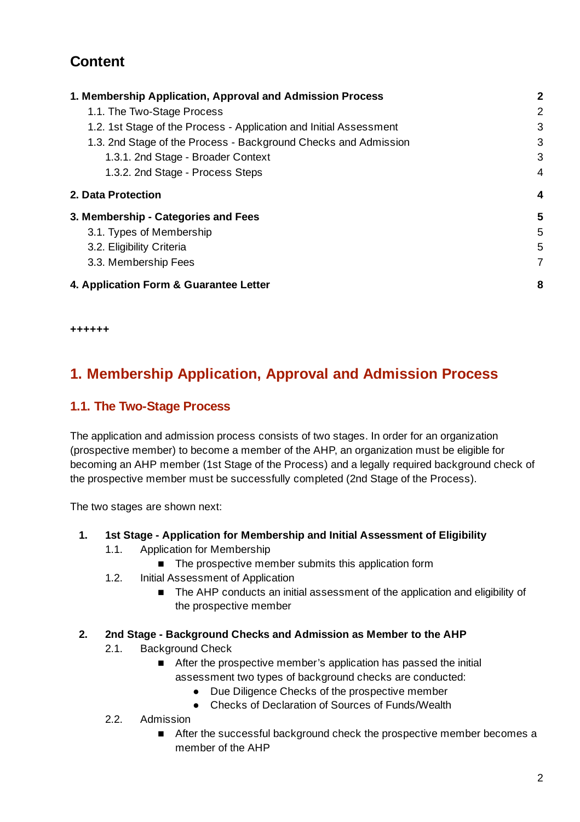## **Content**

| 1. Membership Application, Approval and Admission Process          | $\mathbf{2}$ |
|--------------------------------------------------------------------|--------------|
| 1.1. The Two-Stage Process                                         | 2            |
| 1.2. 1st Stage of the Process - Application and Initial Assessment | 3            |
| 1.3. 2nd Stage of the Process - Background Checks and Admission    | 3            |
| 1.3.1. 2nd Stage - Broader Context                                 | 3            |
| 1.3.2. 2nd Stage - Process Steps                                   | 4            |
| 2. Data Protection                                                 | 4            |
| 3. Membership - Categories and Fees                                | 5            |
| 3.1. Types of Membership                                           | 5            |
| 3.2. Eligibility Criteria                                          | 5            |
| 3.3. Membership Fees                                               | 7            |
| 4. Application Form & Guarantee Letter                             | 8            |

**++++++**

## <span id="page-1-0"></span>**1. Membership Application, Approval and Admission Process**

### <span id="page-1-1"></span>**1.1. The Two-Stage Process**

The application and admission process consists of two stages. In order for an organization (prospective member) to become a member of the AHP, an organization must be eligible for becoming an AHP member (1st Stage of the Process) and a legally required background check of the prospective member must be successfully completed (2nd Stage of the Process).

The two stages are shown next:

- **1. 1st Stage - Application for Membership and Initial Assessment of Eligibility**
	- 1.1. Application for Membership
		- The prospective member submits this application form
	- 1.2. Initial Assessment of Application
		- The AHP conducts an initial assessment of the application and eligibility of the prospective member
- **2. 2nd Stage - Background Checks and Admission as Member to the AHP**
	- 2.1. Background Check
		- After the prospective member's application has passed the initial assessment two types of background checks are conducted:
			- Due Diligence Checks of the prospective member
			- Checks of Declaration of Sources of Funds/Wealth
	- 2.2. Admission
		- After the successful background check the prospective member becomes a member of the AHP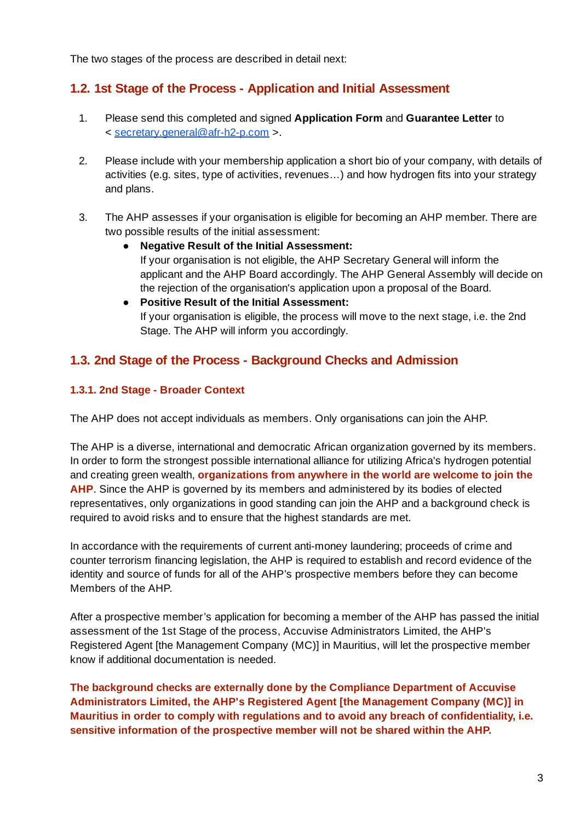The two stages of the process are described in detail next:

### <span id="page-2-0"></span>**1.2. 1st Stage of the Process - Application and Initial Assessment**

- 1. Please send this completed and signed **Application Form** and **Guarantee Letter** to < [secretary.general@afr-h2-p.com](mailto:secretary.general@afr-h2-p.com) >.
- 2. Please include with your membership application a short bio of your company, with details of activities (e.g. sites, type of activities, revenues…) and how hydrogen fits into your strategy and plans.
- 3. The AHP assesses if your organisation is eligible for becoming an AHP member. There are two possible results of the initial assessment:
	- **● Negative Result of the Initial Assessment:** If your organisation is not eligible, the AHP Secretary General will inform the applicant and the AHP Board accordingly. The AHP General Assembly will decide on the rejection of the organisation's application upon a proposal of the Board.
	- **● Positive Result of the Initial Assessment:** If your organisation is eligible, the process will move to the next stage, i.e. the 2nd Stage. The AHP will inform you accordingly.

### <span id="page-2-1"></span>**1.3. 2nd Stage of the Process - Background Checks and Admission**

#### <span id="page-2-2"></span>**1.3.1. 2nd Stage - Broader Context**

The AHP does not accept individuals as members. Only organisations can join the AHP.

The AHP is a diverse, international and democratic African organization governed by its members. In order to form the strongest possible international alliance for utilizing Africa's hydrogen potential and creating green wealth, **organizations from anywhere in the world are welcome to join the AHP**. Since the AHP is governed by its members and administered by its bodies of elected representatives, only organizations in good standing can join the AHP and a background check is required to avoid risks and to ensure that the highest standards are met.

In accordance with the requirements of current anti-money laundering; proceeds of crime and counter terrorism financing legislation, the AHP is required to establish and record evidence of the identity and source of funds for all of the AHP's prospective members before they can become Members of the AHP.

After a prospective member's application for becoming a member of the AHP has passed the initial assessment of the 1st Stage of the process, Accuvise Administrators Limited, the AHP's Registered Agent [the Management Company (MC)] in Mauritius, will let the prospective member know if additional documentation is needed.

**The background checks are externally done by the Compliance Department of Accuvise Administrators Limited, the AHP's Registered Agent [the Management Company (MC)] in Mauritius in order to comply with regulations and to avoid any breach of confidentiality, i.e. sensitive information of the prospective member will not be shared within the AHP.**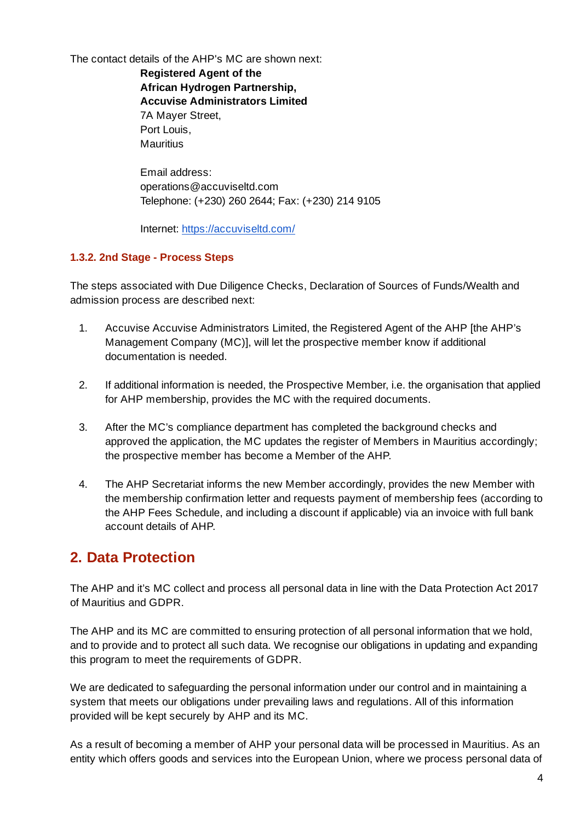The contact details of the AHP's MC are shown next:

**Registered Agent of the**

**African Hydrogen Partnership,**

**Accuvise Administrators Limited**

7A Mayer Street, Port Louis, **Mauritius** 

Email address: operations@accuviseltd.com Telephone: (+230) 260 2644; Fax: (+230) 214 9105

Internet: <https://accuviseltd.com/>

#### <span id="page-3-0"></span>**1.3.2. 2nd Stage - Process Steps**

The steps associated with Due Diligence Checks, Declaration of Sources of Funds/Wealth and admission process are described next:

- 1. Accuvise Accuvise Administrators Limited, the Registered Agent of the AHP [the AHP's Management Company (MC)], will let the prospective member know if additional documentation is needed.
- 2. If additional information is needed, the Prospective Member, i.e. the organisation that applied for AHP membership, provides the MC with the required documents.
- 3. After the MC's compliance department has completed the background checks and approved the application, the MC updates the register of Members in Mauritius accordingly; the prospective member has become a Member of the AHP.
- 4. The AHP Secretariat informs the new Member accordingly, provides the new Member with the membership confirmation letter and requests payment of membership fees (according to the AHP Fees Schedule, and including a discount if applicable) via an invoice with full bank account details of AHP.

## <span id="page-3-1"></span>**2. Data Protection**

The AHP and it's MC collect and process all personal data in line with the Data Protection Act 2017 of Mauritius and GDPR.

The AHP and its MC are committed to ensuring protection of all personal information that we hold, and to provide and to protect all such data. We recognise our obligations in updating and expanding this program to meet the requirements of GDPR.

We are dedicated to safeguarding the personal information under our control and in maintaining a system that meets our obligations under prevailing laws and regulations. All of this information provided will be kept securely by AHP and its MC.

As a result of becoming a member of AHP your personal data will be processed in Mauritius. As an entity which offers goods and services into the European Union, where we process personal data of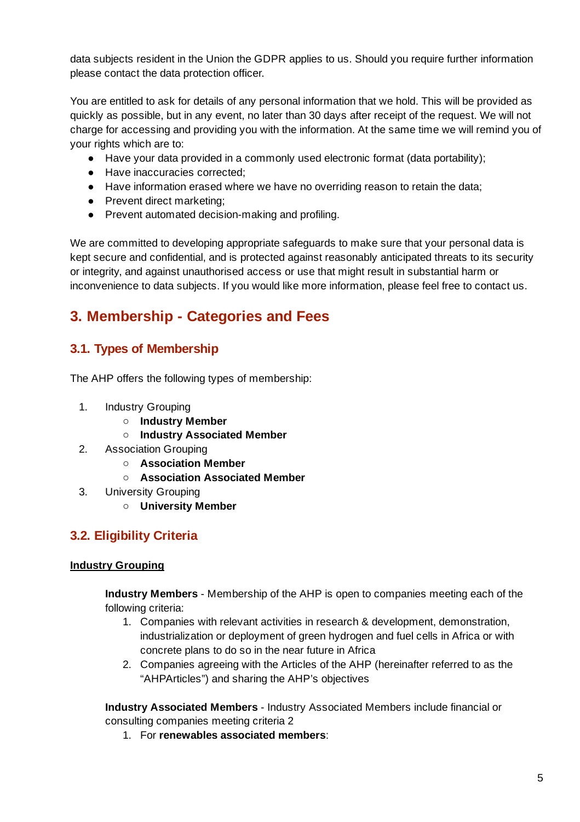data subjects resident in the Union the GDPR applies to us. Should you require further information please contact the data protection officer.

You are entitled to ask for details of any personal information that we hold. This will be provided as quickly as possible, but in any event, no later than 30 days after receipt of the request. We will not charge for accessing and providing you with the information. At the same time we will remind you of your rights which are to:

- Have your data provided in a commonly used electronic format (data portability);
- Have inaccuracies corrected;
- Have information erased where we have no overriding reason to retain the data;
- Prevent direct marketing;
- Prevent automated decision-making and profiling.

We are committed to developing appropriate safeguards to make sure that your personal data is kept secure and confidential, and is protected against reasonably anticipated threats to its security or integrity, and against unauthorised access or use that might result in substantial harm or inconvenience to data subjects. If you would like more information, please feel free to contact us.

## <span id="page-4-0"></span>**3. Membership - Categories and Fees**

### <span id="page-4-1"></span>**3.1. Types of Membership**

The AHP offers the following types of membership:

- 1. Industry Grouping
	- **○ Industry Member**
	- **○ Industry Associated Member**
- 2. Association Grouping
	- **○ Association Member**
	- **○ Association Associated Member**
- 3. University Grouping
	- **○ University Member**

### <span id="page-4-2"></span>**3.2. Eligibility Criteria**

#### **Industry Grouping**

**Industry Members** - Membership of the AHP is open to companies meeting each of the following criteria:

- 1. Companies with relevant activities in research & development, demonstration, industrialization or deployment of green hydrogen and fuel cells in Africa or with concrete plans to do so in the near future in Africa
- 2. Companies agreeing with the Articles of the AHP (hereinafter referred to as the "AHPArticles") and sharing the AHP's objectives

**Industry Associated Members** - Industry Associated Members include financial or consulting companies meeting criteria 2

1. For **renewables associated members**: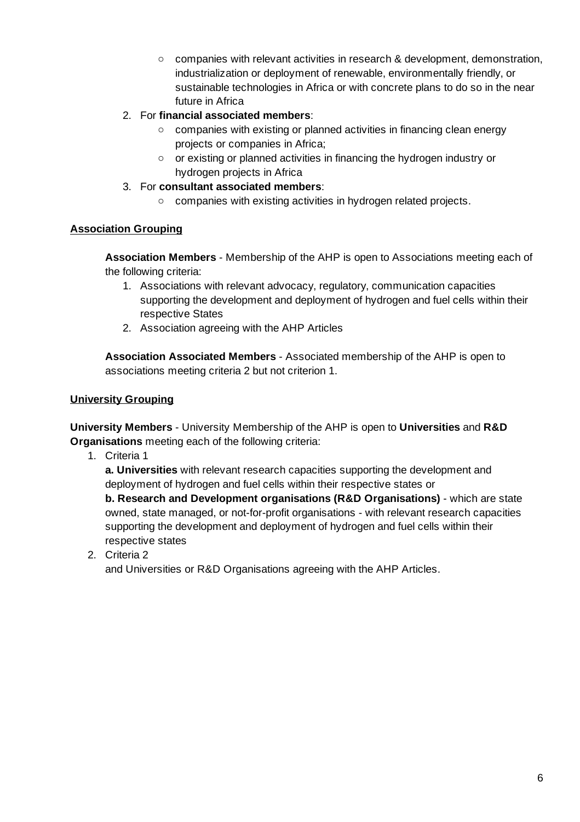- companies with relevant activities in research & development, demonstration, industrialization or deployment of renewable, environmentally friendly, or sustainable technologies in Africa or with concrete plans to do so in the near future in Africa
- 2. For **financial associated members**:
	- companies with existing or planned activities in financing clean energy projects or companies in Africa;
	- or existing or planned activities in financing the hydrogen industry or hydrogen projects in Africa
- 3. For **consultant associated members**:
	- companies with existing activities in hydrogen related projects.

#### **Association Grouping**

**Association Members** - Membership of the AHP is open to Associations meeting each of the following criteria:

- 1. Associations with relevant advocacy, regulatory, communication capacities supporting the development and deployment of hydrogen and fuel cells within their respective States
- 2. Association agreeing with the AHP Articles

**Association Associated Members** - Associated membership of the AHP is open to associations meeting criteria 2 but not criterion 1.

#### **University Grouping**

**University Members** - University Membership of the AHP is open to **Universities** and **R&D Organisations** meeting each of the following criteria:

1. Criteria 1

**a. Universities** with relevant research capacities supporting the development and deployment of hydrogen and fuel cells within their respective states or

**b. Research and Development organisations (R&D Organisations)** - which are state owned, state managed, or not-for-profit organisations - with relevant research capacities supporting the development and deployment of hydrogen and fuel cells within their respective states

2. Criteria 2

and Universities or R&D Organisations agreeing with the AHP Articles.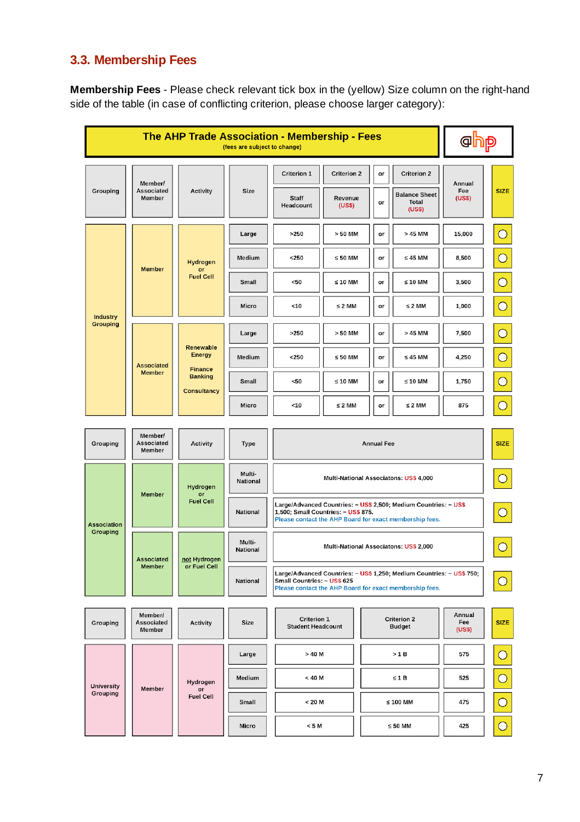## <span id="page-6-0"></span>**3.3. Membership Fees**

**Membership Fees** - Please check relevant tick box in the (yellow) Size column on the right-hand side of the table (in case of conflicting criterion, please choose larger category):

| The AHP Trade Association - Membership - Fees<br>(fees are subject to change) |                                        |                                              |                           | Ο.                                                                                                                                                                                                 |                                                 |  |
|-------------------------------------------------------------------------------|----------------------------------------|----------------------------------------------|---------------------------|----------------------------------------------------------------------------------------------------------------------------------------------------------------------------------------------------|-------------------------------------------------|--|
| Grouping                                                                      | Member/<br>Associated<br>Member        | <b>Activity</b>                              | <b>Size</b>               | Criterion 1<br><b>Criterion 2</b><br><b>Criterion 2</b><br>or<br>Annual<br>Fee<br><b>Balance Sheet</b><br>(US\$)<br><b>Staff</b><br>Revenue<br><b>Total</b><br>or<br>Headcount<br>(US\$)<br>(US\$) | <b>SIZE</b>                                     |  |
|                                                                               |                                        |                                              | Large                     | 15,000<br>>250<br>> 50 MM<br>> 45 MM<br>or                                                                                                                                                         |                                                 |  |
|                                                                               | <b>Member</b>                          | <b>Hydrogen</b><br>or                        | Medium                    | 8,500<br>$250$<br>$\leq 45$ MM<br>$\leq 50$ MM<br>or                                                                                                                                               |                                                 |  |
|                                                                               |                                        | <b>Fuel Cell</b>                             | Small                     | $50$<br>$\leq 10$ MM<br>$\leq 10$ MM<br>3,500<br>or                                                                                                                                                | $\left( \begin{array}{c} 1 \end{array} \right)$ |  |
| Industry                                                                      |                                        |                                              | Micro                     | 1,000<br>$<$ 10<br>$\leq 2$ MM<br>$\leq 2$ MM<br>or                                                                                                                                                |                                                 |  |
| <b>Grouping</b>                                                               |                                        |                                              | Large                     | >250<br>> 50 MM<br>> 45 MM<br>7,500<br>or                                                                                                                                                          | $\left( \begin{array}{c} \end{array} \right)$   |  |
|                                                                               | <b>Associated</b>                      | <b>Renewable</b><br>Energy<br><b>Finance</b> | Medium                    | $250$<br>4,250<br>$\leq$ 50 MM<br>$\leq 45$ MM<br>or                                                                                                                                               | $\overline{C}$                                  |  |
|                                                                               | <b>Member</b>                          | <b>Banking</b><br><b>Consultancy</b>         | Small                     | $50$<br>$\leq 10$ MM<br>$\leq 10$ MM<br>1,750<br>or                                                                                                                                                | $\left( \right)$                                |  |
|                                                                               |                                        |                                              | Micro                     | $<$ 10<br>$\leq 2$ MM<br>$\leq 2$ MM<br>875<br>or                                                                                                                                                  |                                                 |  |
| Grouping                                                                      | Member/<br><b>Associated</b><br>Member | Activity                                     | Type                      | <b>Annual Fee</b>                                                                                                                                                                                  | <b>SIZE</b>                                     |  |
|                                                                               |                                        | Hydrogen                                     | Multi-<br>National        | Multi-National Associatons: US\$ 4,000                                                                                                                                                             |                                                 |  |
| <b>Association</b>                                                            | <b>Member</b>                          | or<br><b>Fuel Cell</b>                       | National                  | Large/Advanced Countries: ~ US\$ 2,500; Medium Countries: ~ US\$<br>1,500; Small Countries: ~ US\$ 875.<br>Please contact the AHP Board for exact membership fees.                                 |                                                 |  |
| Grouping                                                                      | <b>Associated</b>                      | not Hydrogen                                 | Multi-<br><b>National</b> | Multi-National Associatons: US\$ 2,000                                                                                                                                                             |                                                 |  |
| <b>Member</b>                                                                 |                                        | or Fuel Cell                                 | National                  | Large/Advanced Countries: ~ US\$ 1,250; Medium Countries: ~ US\$ 750;<br>Small Countries: ~ US\$ 625<br>Please contact the AHP Board for exact membership fees.                                    |                                                 |  |
| Grouping                                                                      | <b>Member/</b><br>Associated<br>Member | Activity                                     | Size                      | Annual<br>Criterion 1<br><b>Criterion 2</b><br>Fee<br><b>Student Headcount</b><br><b>Budget</b><br>(USS)                                                                                           | <b>SIZE</b>                                     |  |
|                                                                               |                                        | Hydrogen<br>or                               | Large                     | > 40 M<br>575<br>>1B                                                                                                                                                                               | $\bigcirc$                                      |  |
| <b>University</b>                                                             | Member                                 |                                              | Medium                    | < 40 M<br>$\leq 1B$<br>525                                                                                                                                                                         | $\bigcirc$                                      |  |
| Grouping                                                                      |                                        | <b>Fuel Cell</b>                             | Small                     | < 20 M<br>$\leq 100$ MM<br>475                                                                                                                                                                     | $\bigcirc$                                      |  |
|                                                                               |                                        |                                              | Micro                     | 425<br>< 5 M<br>$\leq 50$ MM                                                                                                                                                                       | $\bigcirc$                                      |  |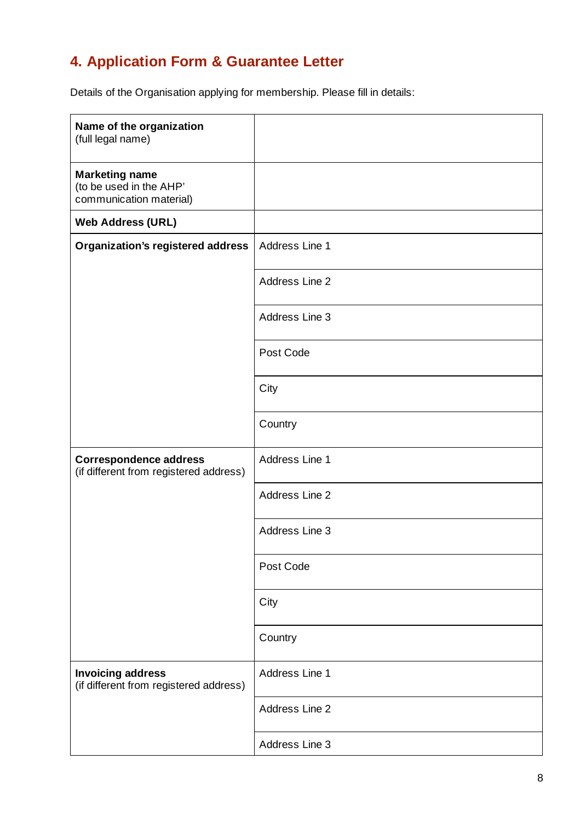# <span id="page-7-0"></span>**4. Application Form & Guarantee Letter**

Details of the Organisation applying for membership. Please fill in details:

| Name of the organization<br>(full legal name)                               |                |
|-----------------------------------------------------------------------------|----------------|
| <b>Marketing name</b><br>(to be used in the AHP'<br>communication material) |                |
| <b>Web Address (URL)</b>                                                    |                |
| Organization's registered address                                           | Address Line 1 |
|                                                                             | Address Line 2 |
|                                                                             | Address Line 3 |
|                                                                             | Post Code      |
|                                                                             | City           |
|                                                                             | Country        |
| <b>Correspondence address</b><br>(if different from registered address)     | Address Line 1 |
|                                                                             | Address Line 2 |
|                                                                             | Address Line 3 |
|                                                                             | Post Code      |
|                                                                             | City           |
|                                                                             | Country        |
| <b>Invoicing address</b><br>(if different from registered address)          | Address Line 1 |
|                                                                             | Address Line 2 |
|                                                                             | Address Line 3 |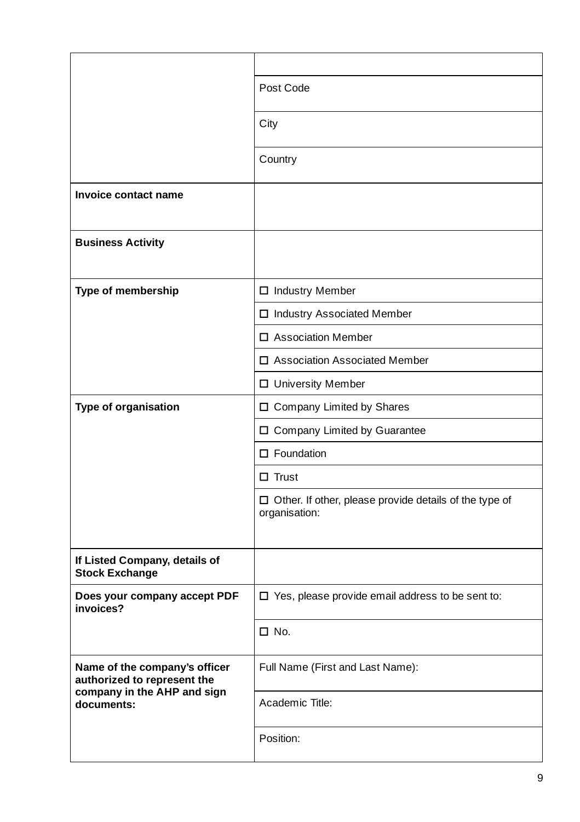|                                                              | Post Code                                                                      |
|--------------------------------------------------------------|--------------------------------------------------------------------------------|
|                                                              | City                                                                           |
|                                                              | Country                                                                        |
| <b>Invoice contact name</b>                                  |                                                                                |
| <b>Business Activity</b>                                     |                                                                                |
| <b>Type of membership</b>                                    | $\Box$ Industry Member                                                         |
|                                                              | □ Industry Associated Member                                                   |
|                                                              | $\Box$ Association Member                                                      |
|                                                              | $\square$ Association Associated Member                                        |
|                                                              | □ University Member                                                            |
| <b>Type of organisation</b>                                  | $\square$ Company Limited by Shares                                            |
|                                                              | $\Box$ Company Limited by Guarantee                                            |
|                                                              | $\square$ Foundation                                                           |
|                                                              | $\Box$ Trust                                                                   |
|                                                              | $\Box$ Other. If other, please provide details of the type of<br>organisation: |
| If Listed Company, details of<br><b>Stock Exchange</b>       |                                                                                |
| Does your company accept PDF<br>invoices?                    | $\Box$ Yes, please provide email address to be sent to:                        |
|                                                              | $\square$ No.                                                                  |
| Name of the company's officer<br>authorized to represent the | Full Name (First and Last Name):                                               |
| company in the AHP and sign<br>documents:                    | Academic Title:                                                                |
|                                                              | Position:                                                                      |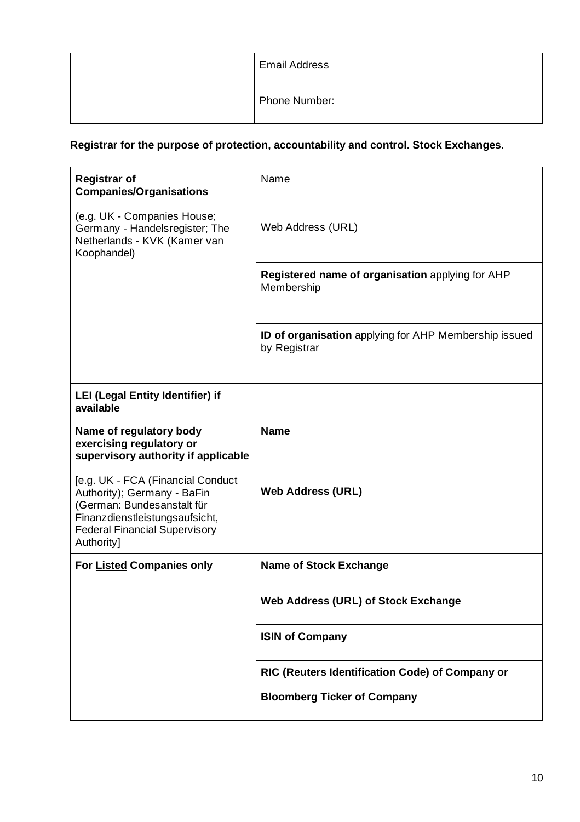| <b>Email Address</b> |
|----------------------|
| Phone Number:        |

### **Registrar for the purpose of protection, accountability and control. Stock Exchanges.**

| <b>Registrar of</b><br><b>Companies/Organisations</b>                                                                                                                                  | Name                                                                                  |
|----------------------------------------------------------------------------------------------------------------------------------------------------------------------------------------|---------------------------------------------------------------------------------------|
| (e.g. UK - Companies House;<br>Germany - Handelsregister; The<br>Netherlands - KVK (Kamer van<br>Koophandel)                                                                           | Web Address (URL)                                                                     |
|                                                                                                                                                                                        | Registered name of organisation applying for AHP<br>Membership                        |
|                                                                                                                                                                                        | <b>ID of organisation</b> applying for AHP Membership issued<br>by Registrar          |
| <b>LEI (Legal Entity Identifier) if</b><br>available                                                                                                                                   |                                                                                       |
| Name of regulatory body<br>exercising regulatory or<br>supervisory authority if applicable                                                                                             | <b>Name</b>                                                                           |
| [e.g. UK - FCA (Financial Conduct<br>Authority); Germany - BaFin<br>(German: Bundesanstalt für<br>Finanzdienstleistungsaufsicht,<br><b>Federal Financial Supervisory</b><br>Authority] | <b>Web Address (URL)</b>                                                              |
| For Listed Companies only                                                                                                                                                              | <b>Name of Stock Exchange</b>                                                         |
|                                                                                                                                                                                        | <b>Web Address (URL) of Stock Exchange</b>                                            |
|                                                                                                                                                                                        | <b>ISIN of Company</b>                                                                |
|                                                                                                                                                                                        | RIC (Reuters Identification Code) of Company or<br><b>Bloomberg Ticker of Company</b> |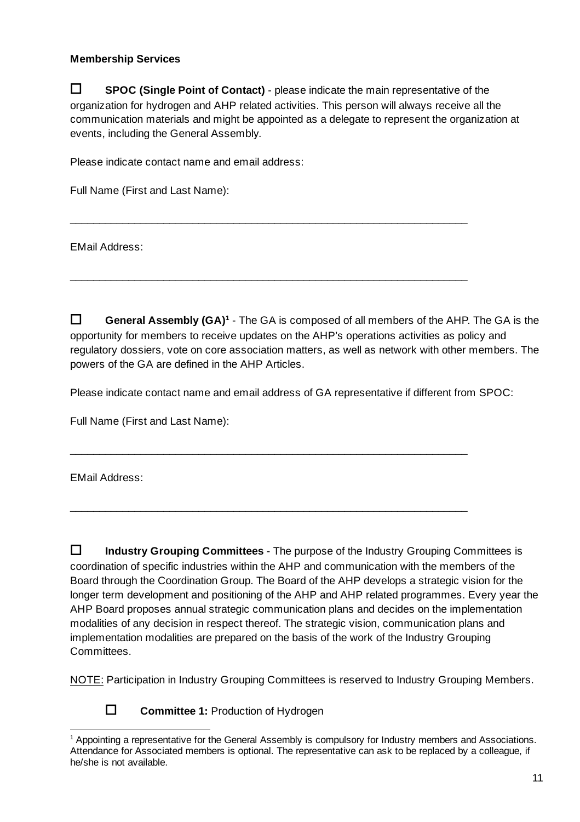#### **Membership Services**

☐ **SPOC (Single Point of Contact)** - please indicate the main representative of the organization for hydrogen and AHP related activities. This person will always receive all the communication materials and might be appointed as a delegate to represent the organization at events, including the General Assembly.

\_\_\_\_\_\_\_\_\_\_\_\_\_\_\_\_\_\_\_\_\_\_\_\_\_\_\_\_\_\_\_\_\_\_\_\_\_\_\_\_\_\_\_\_\_\_\_\_\_\_\_\_\_\_\_\_\_\_\_\_\_\_\_\_\_\_\_\_

\_\_\_\_\_\_\_\_\_\_\_\_\_\_\_\_\_\_\_\_\_\_\_\_\_\_\_\_\_\_\_\_\_\_\_\_\_\_\_\_\_\_\_\_\_\_\_\_\_\_\_\_\_\_\_\_\_\_\_\_\_\_\_\_\_\_\_\_

Please indicate contact name and email address:

Full Name (First and Last Name):

EMail Address:

☐ **General Assembly (GA) 1** - The GA is composed of all members of the AHP. The GA is the opportunity for members to receive updates on the AHP's operations activities as policy and regulatory dossiers, vote on core association matters, as well as network with other members. The powers of the GA are defined in the AHP Articles.

Please indicate contact name and email address of GA representative if different from SPOC:

 $\_$ 

Full Name (First and Last Name):

EMail Address:

☐ **Industry Grouping Committees** - The purpose of the Industry Grouping Committees is coordination of specific industries within the AHP and communication with the members of the Board through the Coordination Group. The Board of the AHP develops a strategic vision for the longer term development and positioning of the AHP and AHP related programmes. Every year the AHP Board proposes annual strategic communication plans and decides on the implementation modalities of any decision in respect thereof. The strategic vision, communication plans and implementation modalities are prepared on the basis of the work of the Industry Grouping Committees.

NOTE: Participation in Industry Grouping Committees is reserved to Industry Grouping Members.

☐ **Committee 1:** Production of Hydrogen

 $1$  Appointing a representative for the General Assembly is compulsory for Industry members and Associations. Attendance for Associated members is optional. The representative can ask to be replaced by a colleague, if he/she is not available.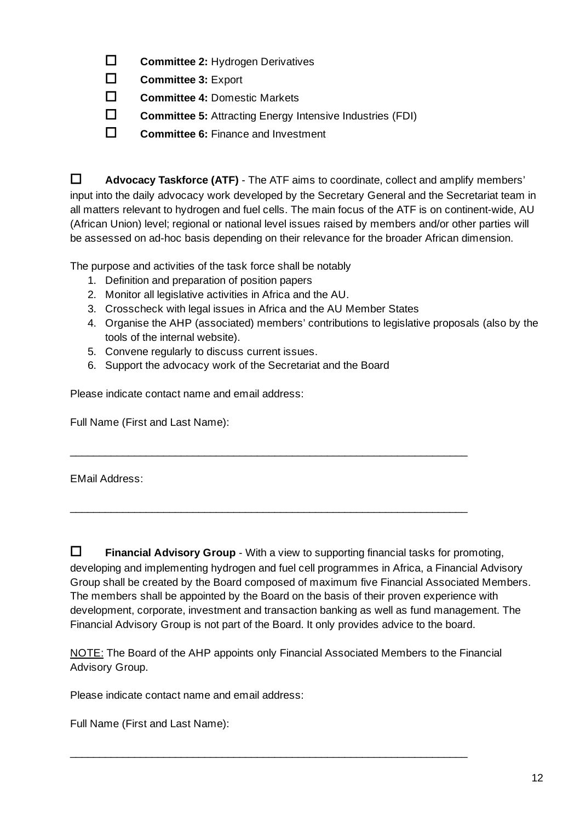- ☐ **Committee 2:** Hydrogen Derivatives
- ☐ **Committee 3:** Export
- ☐ **Committee 4:** Domestic Markets
- ☐ **Committee 5:** Attracting Energy Intensive Industries (FDI)
- ☐ **Committee 6:** Finance and Investment

☐ **Advocacy Taskforce (ATF)** - The ATF aims to coordinate, collect and amplify members' input into the daily advocacy work developed by the Secretary General and the Secretariat team in all matters relevant to hydrogen and fuel cells. The main focus of the ATF is on continent-wide, AU (African Union) level; regional or national level issues raised by members and/or other parties will be assessed on ad-hoc basis depending on their relevance for the broader African dimension.

The purpose and activities of the task force shall be notably

- 1. Definition and preparation of position papers
- 2. Monitor all legislative activities in Africa and the AU.
- 3. Crosscheck with legal issues in Africa and the AU Member States

 $\_$ 

 $\_$ 

- 4. Organise the AHP (associated) members' contributions to legislative proposals (also by the tools of the internal website).
- 5. Convene regularly to discuss current issues.
- 6. Support the advocacy work of the Secretariat and the Board

Please indicate contact name and email address:

Full Name (First and Last Name):

EMail Address:

☐ **Financial Advisory Group** - With a view to supporting financial tasks for promoting, developing and implementing hydrogen and fuel cell programmes in Africa, a Financial Advisory Group shall be created by the Board composed of maximum five Financial Associated Members. The members shall be appointed by the Board on the basis of their proven experience with development, corporate, investment and transaction banking as well as fund management. The Financial Advisory Group is not part of the Board. It only provides advice to the board.

NOTE: The Board of the AHP appoints only Financial Associated Members to the Financial Advisory Group.

Please indicate contact name and email address:

Full Name (First and Last Name):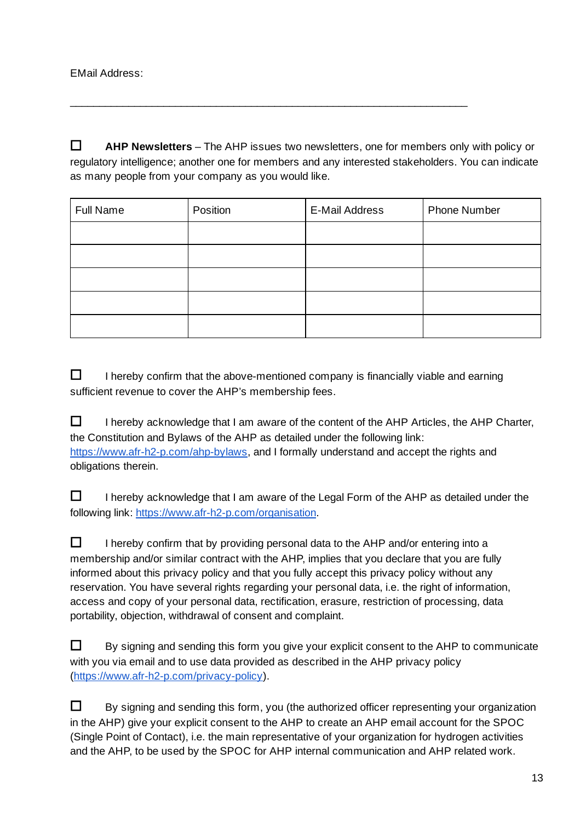☐ **AHP Newsletters** – The AHP issues two newsletters, one for members only with policy or regulatory intelligence; another one for members and any interested stakeholders. You can indicate as many people from your company as you would like.

 $\_$ 

| <b>Full Name</b> | Position | E-Mail Address | Phone Number |
|------------------|----------|----------------|--------------|
|                  |          |                |              |
|                  |          |                |              |
|                  |          |                |              |
|                  |          |                |              |
|                  |          |                |              |

 $\Box$  I hereby confirm that the above-mentioned company is financially viable and earning sufficient revenue to cover the AHP's membership fees.

☐ I hereby acknowledge that I am aware of the content of the AHP Articles, the AHP Charter, the Constitution and Bylaws of the AHP as detailed under the following link: <https://www.afr-h2-p.com/ahp-bylaws>, and I formally understand and accept the rights and obligations therein.

 $\Box$  I hereby acknowledge that I am aware of the Legal Form of the AHP as detailed under the following link: <https://www.afr-h2-p.com/organisation>.

 $\Box$  I hereby confirm that by providing personal data to the AHP and/or entering into a membership and/or similar contract with the AHP, implies that you declare that you are fully informed about this privacy policy and that you fully accept this privacy policy without any reservation. You have several rights regarding your personal data, i.e. the right of information, access and copy of your personal data, rectification, erasure, restriction of processing, data portability, objection, withdrawal of consent and complaint.

| By signing and sending this form you give your explicit consent to the AHP to communicate |
|-------------------------------------------------------------------------------------------|
| with you via email and to use data provided as described in the AHP privacy policy        |
| (https://www.afr-h2-p.com/privacy-policy).                                                |

| 0. | By signing and sending this form, you (the authorized officer representing your organization         |
|----|------------------------------------------------------------------------------------------------------|
|    | in the AHP) give your explicit consent to the AHP to create an AHP email account for the SPOC        |
|    | (Single Point of Contact), i.e. the main representative of your organization for hydrogen activities |
|    | and the AHP, to be used by the SPOC for AHP internal communication and AHP related work.             |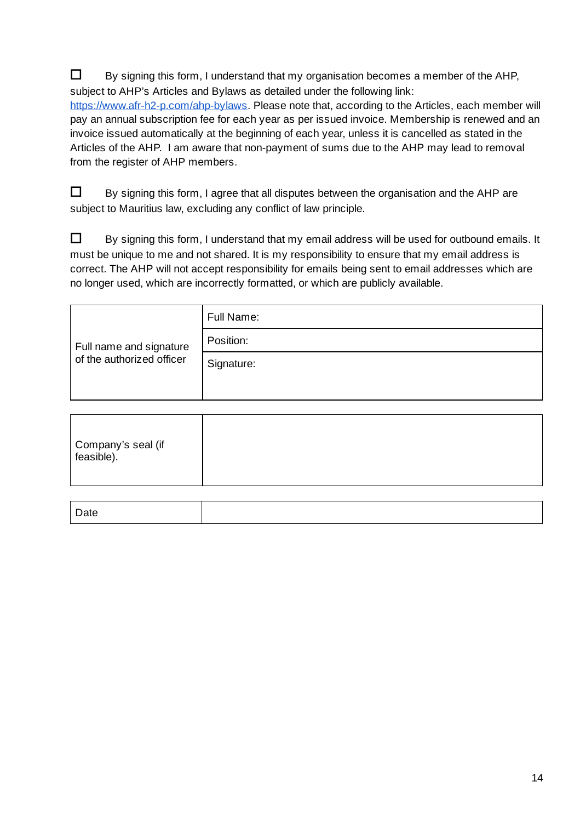$\Box$  By signing this form, I understand that my organisation becomes a member of the AHP, subject to AHP's Articles and Bylaws as detailed under the following link:

<https://www.afr-h2-p.com/ahp-bylaws>. Please note that, according to the Articles, each member will pay an annual subscription fee for each year as per issued invoice. Membership is renewed and an invoice issued automatically at the beginning of each year, unless it is cancelled as stated in the Articles of the AHP. I am aware that non-payment of sums due to the AHP may lead to removal from the register of AHP members.

☐ By signing this form, I agree that all disputes between the organisation and the AHP are subject to Mauritius law, excluding any conflict of law principle.

☐ By signing this form, I understand that my email address will be used for outbound emails. It must be unique to me and not shared. It is my responsibility to ensure that my email address is correct. The AHP will not accept responsibility for emails being sent to email addresses which are no longer used, which are incorrectly formatted, or which are publicly available.

| Full name and signature<br>of the authorized officer | Full Name: |
|------------------------------------------------------|------------|
|                                                      | Position:  |
|                                                      | Signature: |
|                                                      |            |

|--|

| Date |  |
|------|--|
|      |  |
|      |  |